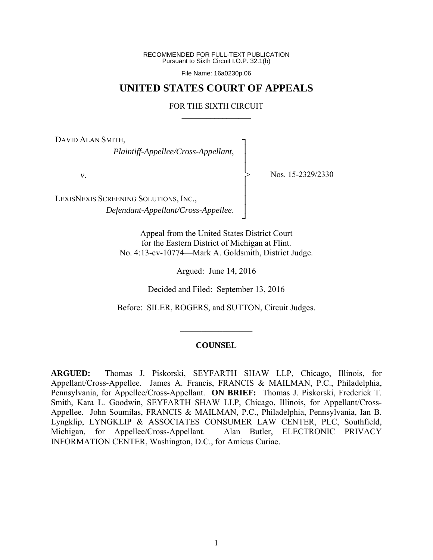RECOMMENDED FOR FULL-TEXT PUBLICATION Pursuant to Sixth Circuit I.O.P. 32.1(b)

File Name: 16a0230p.06

## **UNITED STATES COURT OF APPEALS**

## FOR THE SIXTH CIRCUIT  $\mathcal{L}_\text{max}$

┐ │ │ │ │ │ │ │ ┘

>

DAVID ALAN SMITH,

*Plaintiff-Appellee/Cross-Appellant*,

*v*.

Nos. 15-2329/2330

LEXISNEXIS SCREENING SOLUTIONS, INC., *Defendant-Appellant/Cross-Appellee*.

> Appeal from the United States District Court for the Eastern District of Michigan at Flint. No. 4:13-cv-10774—Mark A. Goldsmith, District Judge.

> > Argued: June 14, 2016

Decided and Filed: September 13, 2016

Before: SILER, ROGERS, and SUTTON, Circuit Judges.

 $\mathcal{L}_\text{max}$ 

## **COUNSEL**

**ARGUED:** Thomas J. Piskorski, SEYFARTH SHAW LLP, Chicago, Illinois, for Appellant/Cross-Appellee. James A. Francis, FRANCIS & MAILMAN, P.C., Philadelphia, Pennsylvania, for Appellee/Cross-Appellant. **ON BRIEF:** Thomas J. Piskorski, Frederick T. Smith, Kara L. Goodwin, SEYFARTH SHAW LLP, Chicago, Illinois, for Appellant/Cross-Appellee. John Soumilas, FRANCIS & MAILMAN, P.C., Philadelphia, Pennsylvania, Ian B. Lyngklip, LYNGKLIP & ASSOCIATES CONSUMER LAW CENTER, PLC, Southfield, Michigan, for Appellee/Cross-Appellant. Alan Butler, ELECTRONIC PRIVACY INFORMATION CENTER, Washington, D.C., for Amicus Curiae.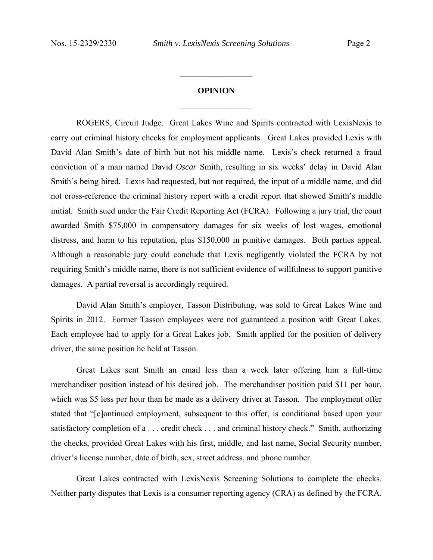## **OPINION**   $\frac{1}{2}$  ,  $\frac{1}{2}$  ,  $\frac{1}{2}$  ,  $\frac{1}{2}$  ,  $\frac{1}{2}$  ,  $\frac{1}{2}$  ,  $\frac{1}{2}$  ,  $\frac{1}{2}$  ,  $\frac{1}{2}$

 $\frac{1}{2}$  ,  $\frac{1}{2}$  ,  $\frac{1}{2}$  ,  $\frac{1}{2}$  ,  $\frac{1}{2}$  ,  $\frac{1}{2}$  ,  $\frac{1}{2}$  ,  $\frac{1}{2}$  ,  $\frac{1}{2}$ 

ROGERS, Circuit Judge. Great Lakes Wine and Spirits contracted with LexisNexis to carry out criminal history checks for employment applicants. Great Lakes provided Lexis with David Alan Smith's date of birth but not his middle name. Lexis's check returned a fraud conviction of a man named David *Oscar* Smith, resulting in six weeks' delay in David Alan Smith's being hired. Lexis had requested, but not required, the input of a middle name, and did not cross-reference the criminal history report with a credit report that showed Smith's middle initial. Smith sued under the Fair Credit Reporting Act (FCRA). Following a jury trial, the court awarded Smith \$75,000 in compensatory damages for six weeks of lost wages, emotional distress, and harm to his reputation, plus \$150,000 in punitive damages. Both parties appeal. Although a reasonable jury could conclude that Lexis negligently violated the FCRA by not requiring Smith's middle name, there is not sufficient evidence of willfulness to support punitive damages. A partial reversal is accordingly required.

 David Alan Smith's employer, Tasson Distributing, was sold to Great Lakes Wine and Spirits in 2012. Former Tasson employees were not guaranteed a position with Great Lakes. Each employee had to apply for a Great Lakes job. Smith applied for the position of delivery driver, the same position he held at Tasson.

 Great Lakes sent Smith an email less than a week later offering him a full-time merchandiser position instead of his desired job. The merchandiser position paid \$11 per hour, which was \$5 less per hour than he made as a delivery driver at Tasson. The employment offer stated that "[c]ontinued employment, subsequent to this offer, is conditional based upon your satisfactory completion of a . . . credit check . . . and criminal history check." Smith, authorizing the checks, provided Great Lakes with his first, middle, and last name, Social Security number, driver's license number, date of birth, sex, street address, and phone number.

 Great Lakes contracted with LexisNexis Screening Solutions to complete the checks. Neither party disputes that Lexis is a consumer reporting agency (CRA) as defined by the FCRA.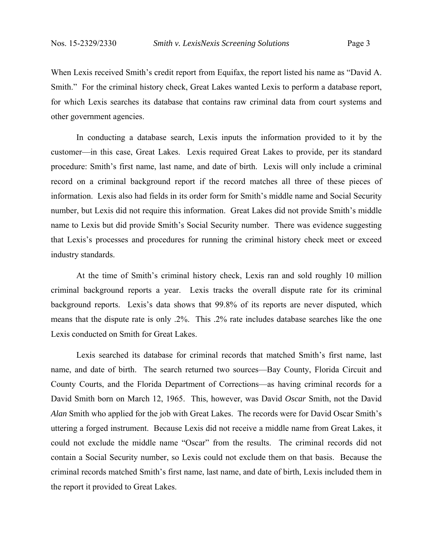When Lexis received Smith's credit report from Equifax, the report listed his name as "David A. Smith." For the criminal history check, Great Lakes wanted Lexis to perform a database report, for which Lexis searches its database that contains raw criminal data from court systems and other government agencies.

 In conducting a database search, Lexis inputs the information provided to it by the customer—in this case, Great Lakes. Lexis required Great Lakes to provide, per its standard procedure: Smith's first name, last name, and date of birth. Lexis will only include a criminal record on a criminal background report if the record matches all three of these pieces of information. Lexis also had fields in its order form for Smith's middle name and Social Security number, but Lexis did not require this information. Great Lakes did not provide Smith's middle name to Lexis but did provide Smith's Social Security number. There was evidence suggesting that Lexis's processes and procedures for running the criminal history check meet or exceed industry standards.

 At the time of Smith's criminal history check, Lexis ran and sold roughly 10 million criminal background reports a year. Lexis tracks the overall dispute rate for its criminal background reports. Lexis's data shows that 99.8% of its reports are never disputed, which means that the dispute rate is only .2%. This .2% rate includes database searches like the one Lexis conducted on Smith for Great Lakes.

 Lexis searched its database for criminal records that matched Smith's first name, last name, and date of birth. The search returned two sources—Bay County, Florida Circuit and County Courts, and the Florida Department of Corrections—as having criminal records for a David Smith born on March 12, 1965. This, however, was David *Oscar* Smith, not the David *Alan* Smith who applied for the job with Great Lakes. The records were for David Oscar Smith's uttering a forged instrument. Because Lexis did not receive a middle name from Great Lakes, it could not exclude the middle name "Oscar" from the results. The criminal records did not contain a Social Security number, so Lexis could not exclude them on that basis. Because the criminal records matched Smith's first name, last name, and date of birth, Lexis included them in the report it provided to Great Lakes.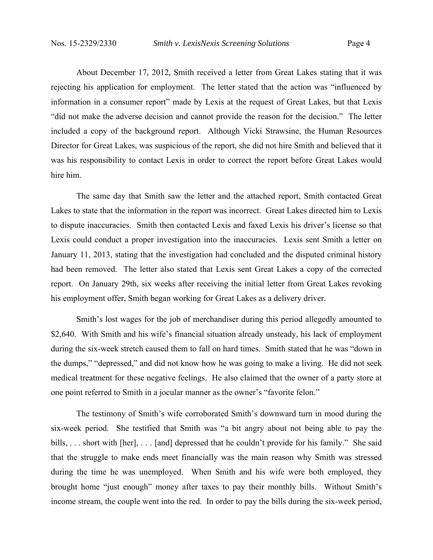About December 17, 2012, Smith received a letter from Great Lakes stating that it was rejecting his application for employment. The letter stated that the action was "influenced by information in a consumer report" made by Lexis at the request of Great Lakes, but that Lexis "did not make the adverse decision and cannot provide the reason for the decision." The letter included a copy of the background report. Although Vicki Strawsine, the Human Resources Director for Great Lakes, was suspicious of the report, she did not hire Smith and believed that it was his responsibility to contact Lexis in order to correct the report before Great Lakes would hire him.

 The same day that Smith saw the letter and the attached report, Smith contacted Great Lakes to state that the information in the report was incorrect. Great Lakes directed him to Lexis to dispute inaccuracies. Smith then contacted Lexis and faxed Lexis his driver's license so that Lexis could conduct a proper investigation into the inaccuracies. Lexis sent Smith a letter on January 11, 2013, stating that the investigation had concluded and the disputed criminal history had been removed. The letter also stated that Lexis sent Great Lakes a copy of the corrected report. On January 29th, six weeks after receiving the initial letter from Great Lakes revoking his employment offer, Smith began working for Great Lakes as a delivery driver.

 Smith's lost wages for the job of merchandiser during this period allegedly amounted to \$2,640. With Smith and his wife's financial situation already unsteady, his lack of employment during the six-week stretch caused them to fall on hard times. Smith stated that he was "down in the dumps," "depressed," and did not know how he was going to make a living. He did not seek medical treatment for these negative feelings. He also claimed that the owner of a party store at one point referred to Smith in a jocular manner as the owner's "favorite felon."

 The testimony of Smith's wife corroborated Smith's downward turn in mood during the six-week period. She testified that Smith was "a bit angry about not being able to pay the bills, ... short with [her], ... [and] depressed that he couldn't provide for his family." She said that the struggle to make ends meet financially was the main reason why Smith was stressed during the time he was unemployed. When Smith and his wife were both employed, they brought home "just enough" money after taxes to pay their monthly bills. Without Smith's income stream, the couple went into the red. In order to pay the bills during the six-week period,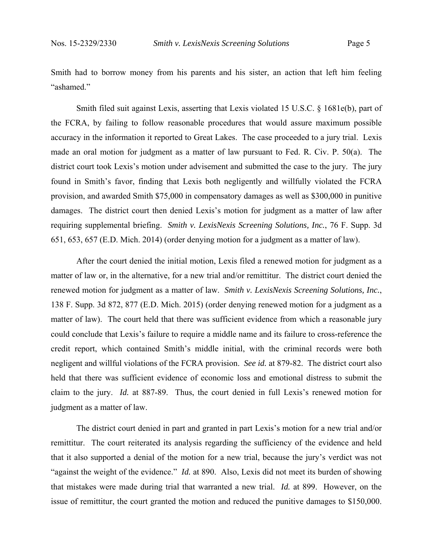Smith had to borrow money from his parents and his sister, an action that left him feeling "ashamed."

 Smith filed suit against Lexis, asserting that Lexis violated 15 U.S.C. § 1681e(b), part of the FCRA, by failing to follow reasonable procedures that would assure maximum possible accuracy in the information it reported to Great Lakes. The case proceeded to a jury trial. Lexis made an oral motion for judgment as a matter of law pursuant to Fed. R. Civ. P. 50(a). The district court took Lexis's motion under advisement and submitted the case to the jury. The jury found in Smith's favor, finding that Lexis both negligently and willfully violated the FCRA provision, and awarded Smith \$75,000 in compensatory damages as well as \$300,000 in punitive damages. The district court then denied Lexis's motion for judgment as a matter of law after requiring supplemental briefing. *Smith v. LexisNexis Screening Solutions, Inc.*, 76 F. Supp. 3d 651, 653, 657 (E.D. Mich. 2014) (order denying motion for a judgment as a matter of law).

 After the court denied the initial motion, Lexis filed a renewed motion for judgment as a matter of law or, in the alternative, for a new trial and/or remittitur. The district court denied the renewed motion for judgment as a matter of law. *Smith v. LexisNexis Screening Solutions, Inc.*, 138 F. Supp. 3d 872, 877 (E.D. Mich. 2015) (order denying renewed motion for a judgment as a matter of law). The court held that there was sufficient evidence from which a reasonable jury could conclude that Lexis's failure to require a middle name and its failure to cross-reference the credit report, which contained Smith's middle initial, with the criminal records were both negligent and willful violations of the FCRA provision. *See id.* at 879-82. The district court also held that there was sufficient evidence of economic loss and emotional distress to submit the claim to the jury. *Id.* at 887-89. Thus, the court denied in full Lexis's renewed motion for judgment as a matter of law.

 The district court denied in part and granted in part Lexis's motion for a new trial and/or remittitur. The court reiterated its analysis regarding the sufficiency of the evidence and held that it also supported a denial of the motion for a new trial, because the jury's verdict was not "against the weight of the evidence." *Id.* at 890. Also, Lexis did not meet its burden of showing that mistakes were made during trial that warranted a new trial. *Id.* at 899. However, on the issue of remittitur, the court granted the motion and reduced the punitive damages to \$150,000.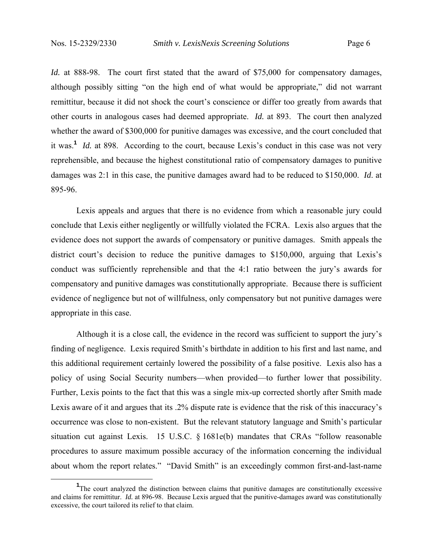*Id.* at 888-98. The court first stated that the award of \$75,000 for compensatory damages, although possibly sitting "on the high end of what would be appropriate," did not warrant remittitur, because it did not shock the court's conscience or differ too greatly from awards that other courts in analogous cases had deemed appropriate. *Id.* at 893. The court then analyzed whether the award of \$300,000 for punitive damages was excessive, and the court concluded that it was.**<sup>1</sup>** *Id.* at 898. According to the court, because Lexis's conduct in this case was not very reprehensible, and because the highest constitutional ratio of compensatory damages to punitive damages was 2:1 in this case, the punitive damages award had to be reduced to \$150,000. *Id*. at 895-96.

 Lexis appeals and argues that there is no evidence from which a reasonable jury could conclude that Lexis either negligently or willfully violated the FCRA. Lexis also argues that the evidence does not support the awards of compensatory or punitive damages. Smith appeals the district court's decision to reduce the punitive damages to \$150,000, arguing that Lexis's conduct was sufficiently reprehensible and that the 4:1 ratio between the jury's awards for compensatory and punitive damages was constitutionally appropriate. Because there is sufficient evidence of negligence but not of willfulness, only compensatory but not punitive damages were appropriate in this case.

 Although it is a close call, the evidence in the record was sufficient to support the jury's finding of negligence. Lexis required Smith's birthdate in addition to his first and last name, and this additional requirement certainly lowered the possibility of a false positive. Lexis also has a policy of using Social Security numbers—when provided—to further lower that possibility. Further, Lexis points to the fact that this was a single mix-up corrected shortly after Smith made Lexis aware of it and argues that its .2% dispute rate is evidence that the risk of this inaccuracy's occurrence was close to non-existent. But the relevant statutory language and Smith's particular situation cut against Lexis. 15 U.S.C. § 1681e(b) mandates that CRAs "follow reasonable procedures to assure maximum possible accuracy of the information concerning the individual about whom the report relates." "David Smith" is an exceedingly common first-and-last-name

 $\frac{1}{1}$ <sup>1</sup>The court analyzed the distinction between claims that punitive damages are constitutionally excessive and claims for remittitur. *Id.* at 896-98. Because Lexis argued that the punitive-damages award was constitutionally excessive, the court tailored its relief to that claim.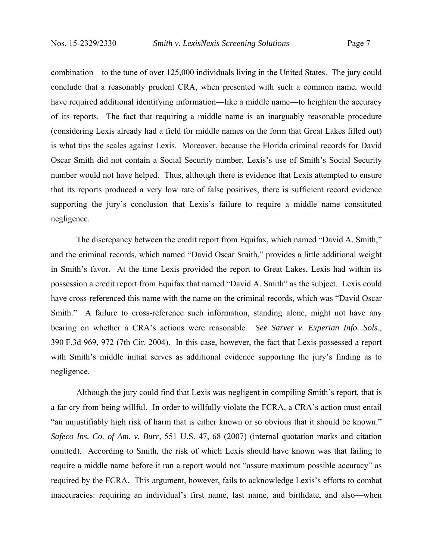combination—to the tune of over 125,000 individuals living in the United States. The jury could conclude that a reasonably prudent CRA, when presented with such a common name, would have required additional identifying information—like a middle name—to heighten the accuracy of its reports. The fact that requiring a middle name is an inarguably reasonable procedure (considering Lexis already had a field for middle names on the form that Great Lakes filled out) is what tips the scales against Lexis. Moreover, because the Florida criminal records for David Oscar Smith did not contain a Social Security number, Lexis's use of Smith's Social Security number would not have helped. Thus, although there is evidence that Lexis attempted to ensure that its reports produced a very low rate of false positives, there is sufficient record evidence supporting the jury's conclusion that Lexis's failure to require a middle name constituted negligence.

 The discrepancy between the credit report from Equifax, which named "David A. Smith," and the criminal records, which named "David Oscar Smith," provides a little additional weight in Smith's favor. At the time Lexis provided the report to Great Lakes, Lexis had within its possession a credit report from Equifax that named "David A. Smith" as the subject. Lexis could have cross-referenced this name with the name on the criminal records, which was "David Oscar Smith." A failure to cross-reference such information, standing alone, might not have any bearing on whether a CRA's actions were reasonable. *See Sarver v. Experian Info. Sols.*, 390 F.3d 969, 972 (7th Cir. 2004). In this case, however, the fact that Lexis possessed a report with Smith's middle initial serves as additional evidence supporting the jury's finding as to negligence.

 Although the jury could find that Lexis was negligent in compiling Smith's report, that is a far cry from being willful. In order to willfully violate the FCRA, a CRA's action must entail "an unjustifiably high risk of harm that is either known or so obvious that it should be known." *Safeco Ins. Co. of Am. v. Burr*, 551 U.S. 47, 68 (2007) (internal quotation marks and citation omitted). According to Smith, the risk of which Lexis should have known was that failing to require a middle name before it ran a report would not "assure maximum possible accuracy" as required by the FCRA. This argument, however, fails to acknowledge Lexis's efforts to combat inaccuracies: requiring an individual's first name, last name, and birthdate, and also—when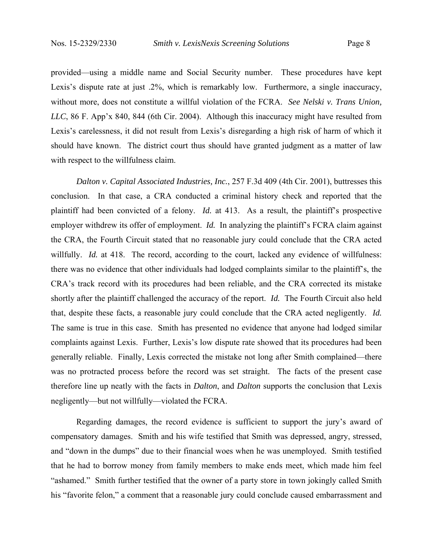provided—using a middle name and Social Security number. These procedures have kept Lexis's dispute rate at just .2%, which is remarkably low. Furthermore, a single inaccuracy, without more, does not constitute a willful violation of the FCRA. *See Nelski v. Trans Union, LLC*, 86 F. App'x 840, 844 (6th Cir. 2004). Although this inaccuracy might have resulted from Lexis's carelessness, it did not result from Lexis's disregarding a high risk of harm of which it should have known. The district court thus should have granted judgment as a matter of law with respect to the willfulness claim.

*Dalton v. Capital Associated Industries, Inc.*, 257 F.3d 409 (4th Cir. 2001), buttresses this conclusion. In that case, a CRA conducted a criminal history check and reported that the plaintiff had been convicted of a felony. *Id.* at 413. As a result, the plaintiff's prospective employer withdrew its offer of employment. *Id.* In analyzing the plaintiff's FCRA claim against the CRA, the Fourth Circuit stated that no reasonable jury could conclude that the CRA acted willfully. *Id.* at 418. The record, according to the court, lacked any evidence of willfulness: there was no evidence that other individuals had lodged complaints similar to the plaintiff's, the CRA's track record with its procedures had been reliable, and the CRA corrected its mistake shortly after the plaintiff challenged the accuracy of the report. *Id.* The Fourth Circuit also held that, despite these facts, a reasonable jury could conclude that the CRA acted negligently. *Id.* The same is true in this case. Smith has presented no evidence that anyone had lodged similar complaints against Lexis. Further, Lexis's low dispute rate showed that its procedures had been generally reliable. Finally, Lexis corrected the mistake not long after Smith complained—there was no protracted process before the record was set straight. The facts of the present case therefore line up neatly with the facts in *Dalton*, and *Dalton* supports the conclusion that Lexis negligently—but not willfully—violated the FCRA.

 Regarding damages, the record evidence is sufficient to support the jury's award of compensatory damages. Smith and his wife testified that Smith was depressed, angry, stressed, and "down in the dumps" due to their financial woes when he was unemployed. Smith testified that he had to borrow money from family members to make ends meet, which made him feel "ashamed." Smith further testified that the owner of a party store in town jokingly called Smith his "favorite felon," a comment that a reasonable jury could conclude caused embarrassment and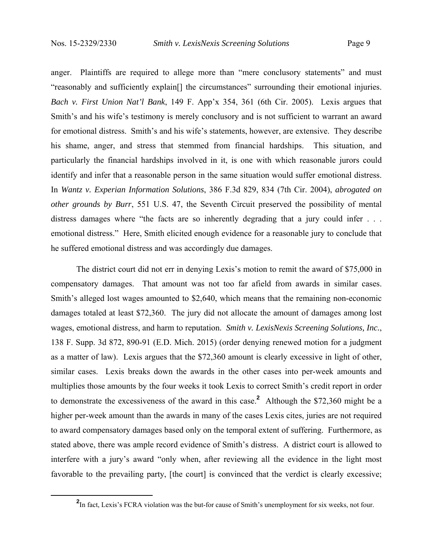anger. Plaintiffs are required to allege more than "mere conclusory statements" and must "reasonably and sufficiently explain[] the circumstances" surrounding their emotional injuries. *Bach v. First Union Nat'l Bank*, 149 F. App'x 354, 361 (6th Cir. 2005). Lexis argues that Smith's and his wife's testimony is merely conclusory and is not sufficient to warrant an award for emotional distress. Smith's and his wife's statements, however, are extensive. They describe his shame, anger, and stress that stemmed from financial hardships. This situation, and particularly the financial hardships involved in it, is one with which reasonable jurors could identify and infer that a reasonable person in the same situation would suffer emotional distress. In *Wantz v. Experian Information Solutions*, 386 F.3d 829, 834 (7th Cir. 2004), *abrogated on other grounds by Burr*, 551 U.S. 47, the Seventh Circuit preserved the possibility of mental distress damages where "the facts are so inherently degrading that a jury could infer . . . emotional distress." Here, Smith elicited enough evidence for a reasonable jury to conclude that he suffered emotional distress and was accordingly due damages.

 The district court did not err in denying Lexis's motion to remit the award of \$75,000 in compensatory damages. That amount was not too far afield from awards in similar cases. Smith's alleged lost wages amounted to \$2,640, which means that the remaining non-economic damages totaled at least \$72,360. The jury did not allocate the amount of damages among lost wages, emotional distress, and harm to reputation. *Smith v. LexisNexis Screening Solutions, Inc.*, 138 F. Supp. 3d 872, 890-91 (E.D. Mich. 2015) (order denying renewed motion for a judgment as a matter of law). Lexis argues that the \$72,360 amount is clearly excessive in light of other, similar cases. Lexis breaks down the awards in the other cases into per-week amounts and multiplies those amounts by the four weeks it took Lexis to correct Smith's credit report in order to demonstrate the excessiveness of the award in this case.**<sup>2</sup>** Although the \$72,360 might be a higher per-week amount than the awards in many of the cases Lexis cites, juries are not required to award compensatory damages based only on the temporal extent of suffering. Furthermore, as stated above, there was ample record evidence of Smith's distress. A district court is allowed to interfere with a jury's award "only when, after reviewing all the evidence in the light most favorable to the prevailing party, [the court] is convinced that the verdict is clearly excessive;

**<sup>2</sup>** <sup>2</sup>In fact. Lexis's FCRA violation was the but-for cause of Smith's unemployment for six weeks, not four.